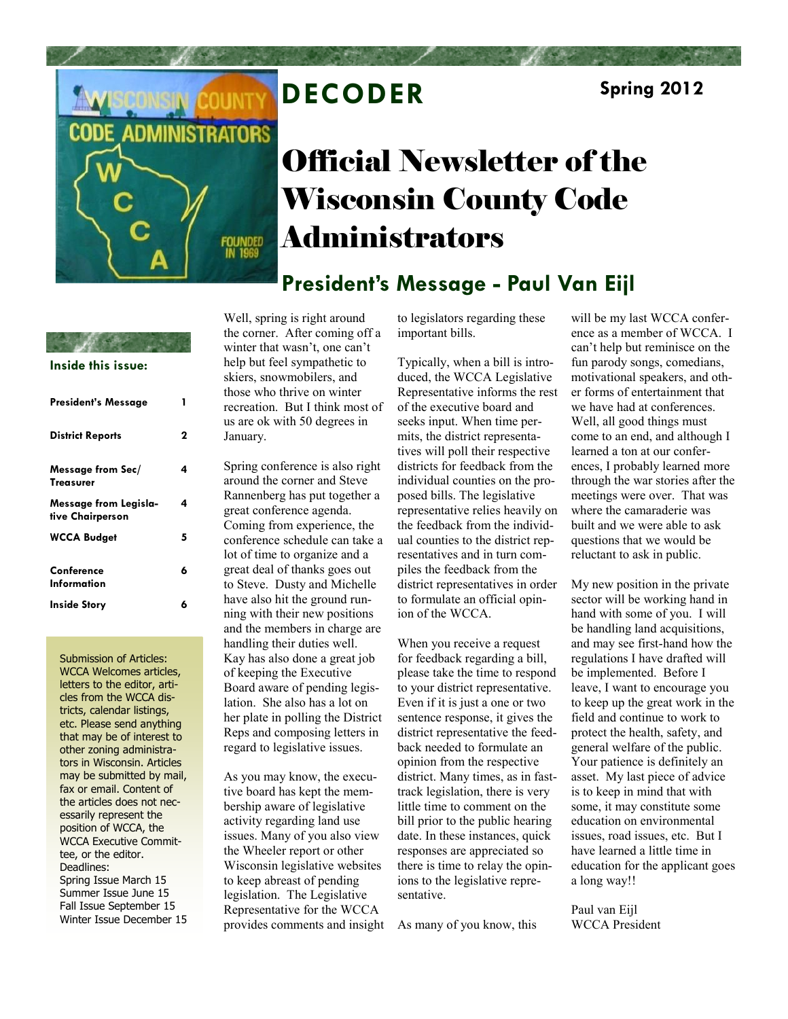

# **DECODER Spring 2012**

# Official Newsletter of the Wisconsin County Code Administrators

**President's Message - Paul Van Eijl**

### **Inside this issue:**

| President's Message                       | 1 |
|-------------------------------------------|---|
| <b>District Reports</b>                   | 2 |
| Message from Sec/<br><b>Treasurer</b>     | 4 |
| Message from Legisla-<br>tive Chairperson | 4 |
| <b>WCCA Budget</b>                        | 5 |
| Conference<br>Information                 | 6 |
| Inside Story                              | 6 |

Submission of Articles: WCCA Welcomes articles, letters to the editor, articles from the WCCA districts, calendar listings, etc. Please send anything that may be of interest to other zoning administrators in Wisconsin. Articles may be submitted by mail, fax or email. Content of the articles does not necessarily represent the position of WCCA, the WCCA Executive Committee, or the editor. Deadlines: Spring Issue March 15 Summer Issue June 15 Fall Issue September 15 Winter Issue December 15 Well, spring is right around the corner. After coming off a winter that wasn't, one can't help but feel sympathetic to skiers, snowmobilers, and those who thrive on winter recreation. But I think most of us are ok with 50 degrees in January.

Spring conference is also right around the corner and Steve Rannenberg has put together a great conference agenda. Coming from experience, the conference schedule can take a lot of time to organize and a great deal of thanks goes out to Steve. Dusty and Michelle have also hit the ground running with their new positions and the members in charge are handling their duties well. Kay has also done a great job of keeping the Executive Board aware of pending legislation. She also has a lot on her plate in polling the District Reps and composing letters in regard to legislative issues.

As you may know, the executive board has kept the membership aware of legislative activity regarding land use issues. Many of you also view the Wheeler report or other Wisconsin legislative websites to keep abreast of pending legislation. The Legislative Representative for the WCCA provides comments and insight to legislators regarding these important bills.

Typically, when a bill is introduced, the WCCA Legislative Representative informs the rest of the executive board and seeks input. When time permits, the district representatives will poll their respective districts for feedback from the individual counties on the proposed bills. The legislative representative relies heavily on the feedback from the individual counties to the district representatives and in turn compiles the feedback from the district representatives in order to formulate an official opinion of the WCCA.

When you receive a request for feedback regarding a bill, please take the time to respond to your district representative. Even if it is just a one or two sentence response, it gives the district representative the feedback needed to formulate an opinion from the respective district. Many times, as in fasttrack legislation, there is very little time to comment on the bill prior to the public hearing date. In these instances, quick responses are appreciated so there is time to relay the opinions to the legislative representative.

As many of you know, this

will be my last WCCA conference as a member of WCCA. I can't help but reminisce on the fun parody songs, comedians, motivational speakers, and other forms of entertainment that we have had at conferences. Well, all good things must come to an end, and although I learned a ton at our conferences, I probably learned more through the war stories after the meetings were over. That was where the camaraderie was built and we were able to ask questions that we would be reluctant to ask in public.

My new position in the private sector will be working hand in hand with some of you. I will be handling land acquisitions, and may see first-hand how the regulations I have drafted will be implemented. Before I leave, I want to encourage you to keep up the great work in the field and continue to work to protect the health, safety, and general welfare of the public. Your patience is definitely an asset. My last piece of advice is to keep in mind that with some, it may constitute some education on environmental issues, road issues, etc. But I have learned a little time in education for the applicant goes a long way!!

Paul van Eijl WCCA President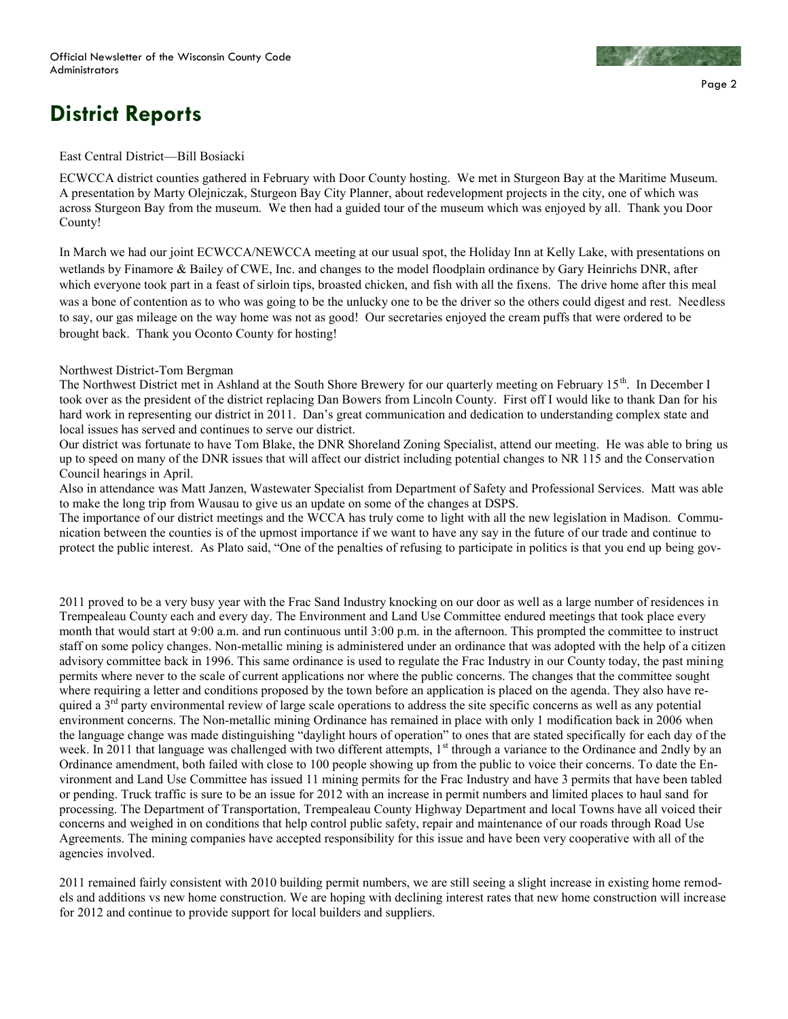

# **District Reports**

### East Central District—Bill Bosiacki

ECWCCA district counties gathered in February with Door County hosting. We met in Sturgeon Bay at the Maritime Museum. A presentation by Marty Olejniczak, Sturgeon Bay City Planner, about redevelopment projects in the city, one of which was across Sturgeon Bay from the museum. We then had a guided tour of the museum which was enjoyed by all. Thank you Door County!

In March we had our joint ECWCCA/NEWCCA meeting at our usual spot, the Holiday Inn at Kelly Lake, with presentations on wetlands by Finamore & Bailey of CWE, Inc. and changes to the model floodplain ordinance by Gary Heinrichs DNR, after which everyone took part in a feast of sirloin tips, broasted chicken, and fish with all the fixens. The drive home after this meal was a bone of contention as to who was going to be the unlucky one to be the driver so the others could digest and rest. Needless to say, our gas mileage on the way home was not as good! Our secretaries enjoyed the cream puffs that were ordered to be brought back. Thank you Oconto County for hosting!

### Northwest District-Tom Bergman

The Northwest District met in Ashland at the South Shore Brewery for our quarterly meeting on February 15th. In December I took over as the president of the district replacing Dan Bowers from Lincoln County. First off I would like to thank Dan for his hard work in representing our district in 2011. Dan's great communication and dedication to understanding complex state and local issues has served and continues to serve our district.

Our district was fortunate to have Tom Blake, the DNR Shoreland Zoning Specialist, attend our meeting. He was able to bring us up to speed on many of the DNR issues that will affect our district including potential changes to NR 115 and the Conservation Council hearings in April.

Also in attendance was Matt Janzen, Wastewater Specialist from Department of Safety and Professional Services. Matt was able to make the long trip from Wausau to give us an update on some of the changes at DSPS.

The importance of our district meetings and the WCCA has truly come to light with all the new legislation in Madison. Communication between the counties is of the upmost importance if we want to have any say in the future of our trade and continue to protect the public interest. As Plato said, "One of the penalties of refusing to participate in politics is that you end up being gov-

2011 proved to be a very busy year with the Frac Sand Industry knocking on our door as well as a large number of residences in Trempealeau County each and every day. The Environment and Land Use Committee endured meetings that took place every month that would start at 9:00 a.m. and run continuous until 3:00 p.m. in the afternoon. This prompted the committee to instruct staff on some policy changes. Non-metallic mining is administered under an ordinance that was adopted with the help of a citizen advisory committee back in 1996. This same ordinance is used to regulate the Frac Industry in our County today, the past mining permits where never to the scale of current applications nor where the public concerns. The changes that the committee sought where requiring a letter and conditions proposed by the town before an application is placed on the agenda. They also have required a 3<sup>rd</sup> party environmental review of large scale operations to address the site specific concerns as well as any potential environment concerns. The Non-metallic mining Ordinance has remained in place with only 1 modification back in 2006 when the language change was made distinguishing "daylight hours of operation" to ones that are stated specifically for each day of the week. In 2011 that language was challenged with two different attempts, 1<sup>st</sup> through a variance to the Ordinance and 2ndly by an Ordinance amendment, both failed with close to 100 people showing up from the public to voice their concerns. To date the Environment and Land Use Committee has issued 11 mining permits for the Frac Industry and have 3 permits that have been tabled or pending. Truck traffic is sure to be an issue for 2012 with an increase in permit numbers and limited places to haul sand for processing. The Department of Transportation, Trempealeau County Highway Department and local Towns have all voiced their concerns and weighed in on conditions that help control public safety, repair and maintenance of our roads through Road Use Agreements. The mining companies have accepted responsibility for this issue and have been very cooperative with all of the agencies involved.

2011 remained fairly consistent with 2010 building permit numbers, we are still seeing a slight increase in existing home remodels and additions vs new home construction. We are hoping with declining interest rates that new home construction will increase for 2012 and continue to provide support for local builders and suppliers.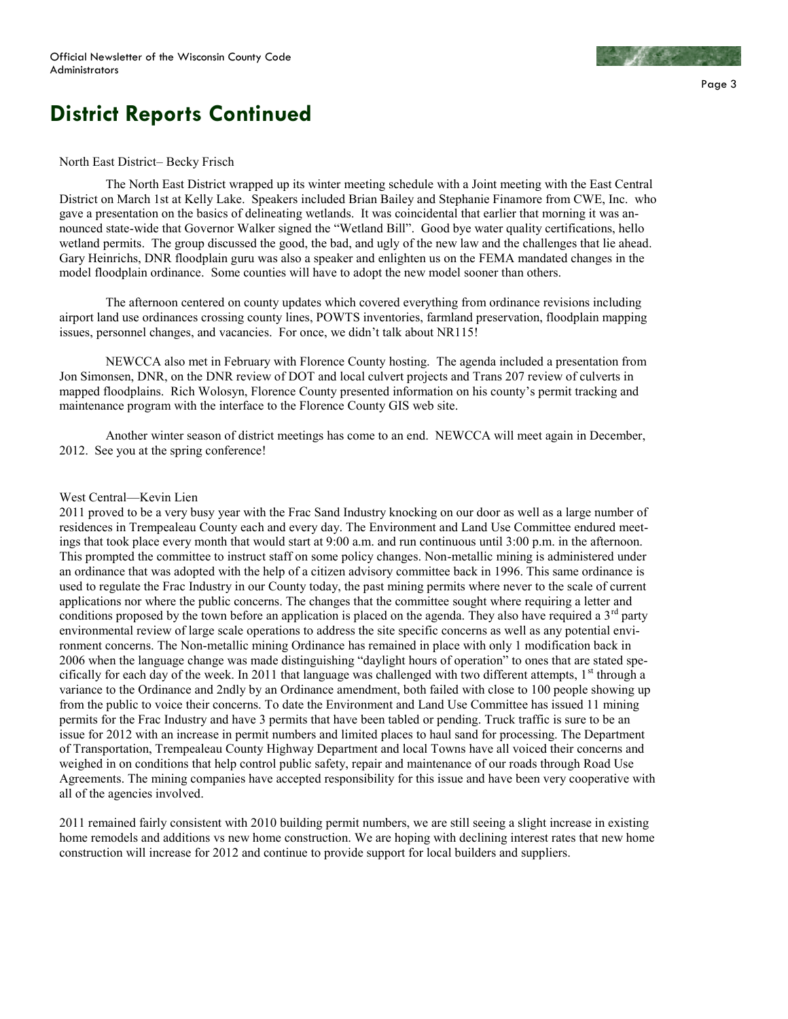

# **District Reports Continued**

### North East District– Becky Frisch

The North East District wrapped up its winter meeting schedule with a Joint meeting with the East Central District on March 1st at Kelly Lake. Speakers included Brian Bailey and Stephanie Finamore from CWE, Inc. who gave a presentation on the basics of delineating wetlands. It was coincidental that earlier that morning it was announced state-wide that Governor Walker signed the "Wetland Bill". Good bye water quality certifications, hello wetland permits. The group discussed the good, the bad, and ugly of the new law and the challenges that lie ahead. Gary Heinrichs, DNR floodplain guru was also a speaker and enlighten us on the FEMA mandated changes in the model floodplain ordinance. Some counties will have to adopt the new model sooner than others.

The afternoon centered on county updates which covered everything from ordinance revisions including airport land use ordinances crossing county lines, POWTS inventories, farmland preservation, floodplain mapping issues, personnel changes, and vacancies. For once, we didn't talk about NR115!

NEWCCA also met in February with Florence County hosting. The agenda included a presentation from Jon Simonsen, DNR, on the DNR review of DOT and local culvert projects and Trans 207 review of culverts in mapped floodplains. Rich Wolosyn, Florence County presented information on his county's permit tracking and maintenance program with the interface to the Florence County GIS web site.

Another winter season of district meetings has come to an end. NEWCCA will meet again in December, 2012. See you at the spring conference!

### West Central—Kevin Lien

2011 proved to be a very busy year with the Frac Sand Industry knocking on our door as well as a large number of residences in Trempealeau County each and every day. The Environment and Land Use Committee endured meetings that took place every month that would start at 9:00 a.m. and run continuous until 3:00 p.m. in the afternoon. This prompted the committee to instruct staff on some policy changes. Non-metallic mining is administered under an ordinance that was adopted with the help of a citizen advisory committee back in 1996. This same ordinance is used to regulate the Frac Industry in our County today, the past mining permits where never to the scale of current applications nor where the public concerns. The changes that the committee sought where requiring a letter and conditions proposed by the town before an application is placed on the agenda. They also have required a 3<sup>rd</sup> party environmental review of large scale operations to address the site specific concerns as well as any potential environment concerns. The Non-metallic mining Ordinance has remained in place with only 1 modification back in 2006 when the language change was made distinguishing "daylight hours of operation" to ones that are stated specifically for each day of the week. In 2011 that language was challenged with two different attempts,  $1<sup>st</sup>$  through a variance to the Ordinance and 2ndly by an Ordinance amendment, both failed with close to 100 people showing up from the public to voice their concerns. To date the Environment and Land Use Committee has issued 11 mining permits for the Frac Industry and have 3 permits that have been tabled or pending. Truck traffic is sure to be an issue for 2012 with an increase in permit numbers and limited places to haul sand for processing. The Department of Transportation, Trempealeau County Highway Department and local Towns have all voiced their concerns and weighed in on conditions that help control public safety, repair and maintenance of our roads through Road Use Agreements. The mining companies have accepted responsibility for this issue and have been very cooperative with all of the agencies involved.

2011 remained fairly consistent with 2010 building permit numbers, we are still seeing a slight increase in existing home remodels and additions vs new home construction. We are hoping with declining interest rates that new home construction will increase for 2012 and continue to provide support for local builders and suppliers.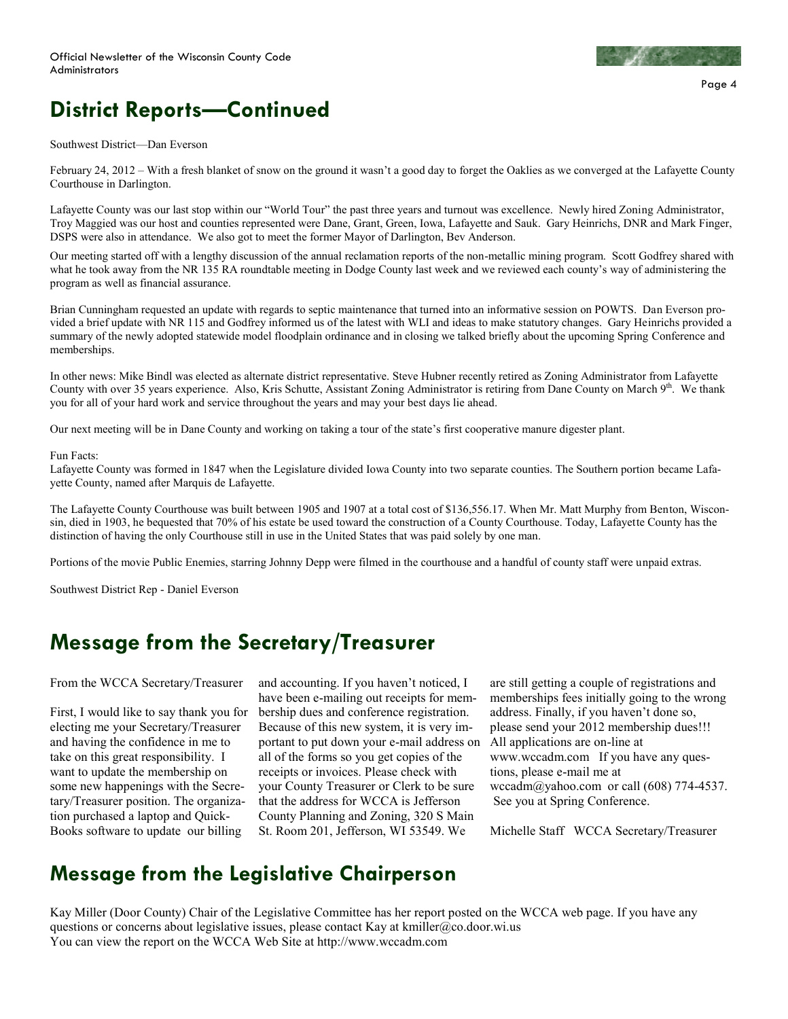

## **District Reports—Continued**

### Southwest District—Dan Everson

February 24, 2012 – With a fresh blanket of snow on the ground it wasn't a good day to forget the Oaklies as we converged at the Lafayette County Courthouse in Darlington.

Lafayette County was our last stop within our "World Tour" the past three years and turnout was excellence. Newly hired Zoning Administrator, Troy Maggied was our host and counties represented were Dane, Grant, Green, Iowa, Lafayette and Sauk. Gary Heinrichs, DNR and Mark Finger, DSPS were also in attendance. We also got to meet the former Mayor of Darlington, Bev Anderson.

Our meeting started off with a lengthy discussion of the annual reclamation reports of the non-metallic mining program. Scott Godfrey shared with what he took away from the NR 135 RA roundtable meeting in Dodge County last week and we reviewed each county's way of administering the program as well as financial assurance.

Brian Cunningham requested an update with regards to septic maintenance that turned into an informative session on POWTS. Dan Everson provided a brief update with NR 115 and Godfrey informed us of the latest with WLI and ideas to make statutory changes. Gary Heinrichs provided a summary of the newly adopted statewide model floodplain ordinance and in closing we talked briefly about the upcoming Spring Conference and memberships.

In other news: Mike Bindl was elected as alternate district representative. Steve Hubner recently retired as Zoning Administrator from Lafayette County with over 35 years experience. Also, Kris Schutte, Assistant Zoning Administrator is retiring from Dane County on March 9<sup>th</sup>. We thank you for all of your hard work and service throughout the years and may your best days lie ahead.

Our next meeting will be in Dane County and working on taking a tour of the state's first cooperative manure digester plant.

### Fun Facts:

Lafayette County was formed in 1847 when the Legislature divided Iowa County into two separate counties. The Southern portion became Lafayette County, named after Marquis de Lafayette.

The Lafayette County Courthouse was built between 1905 and 1907 at a total cost of \$136,556.17. When Mr. Matt Murphy from Benton, Wisconsin, died in 1903, he bequested that 70% of his estate be used toward the construction of a County Courthouse. Today, Lafayette County has the distinction of having the only Courthouse still in use in the United States that was paid solely by one man.

Portions of the movie Public Enemies, starring Johnny Depp were filmed in the courthouse and a handful of county staff were unpaid extras.

Southwest District Rep - Daniel Everson

### **Message from the Secretary/Treasurer**

From the WCCA Secretary/Treasurer

First, I would like to say thank you for electing me your Secretary/Treasurer and having the confidence in me to take on this great responsibility. I want to update the membership on some new happenings with the Secretary/Treasurer position. The organization purchased a laptop and Quick-Books software to update our billing

and accounting. If you haven't noticed, I have been e-mailing out receipts for membership dues and conference registration. Because of this new system, it is very important to put down your e-mail address on all of the forms so you get copies of the receipts or invoices. Please check with your County Treasurer or Clerk to be sure that the address for WCCA is Jefferson County Planning and Zoning, 320 S Main St. Room 201, Jefferson, WI 53549. We

are still getting a couple of registrations and memberships fees initially going to the wrong address. Finally, if you haven't done so, please send your 2012 membership dues!!! All applications are on-line at www.wccadm.com If you have any questions, please e-mail me at wccadm@yahoo.com or call (608) 774-4537. See you at Spring Conference.

Michelle Staff WCCA Secretary/Treasurer

### **Message from the Legislative Chairperson**

Kay Miller (Door County) Chair of the Legislative Committee has her report posted on the WCCA web page. If you have any questions or concerns about legislative issues, please contact Kay at kmiller@co.door.wi.us You can view the report on the WCCA Web Site at http://www.wccadm.com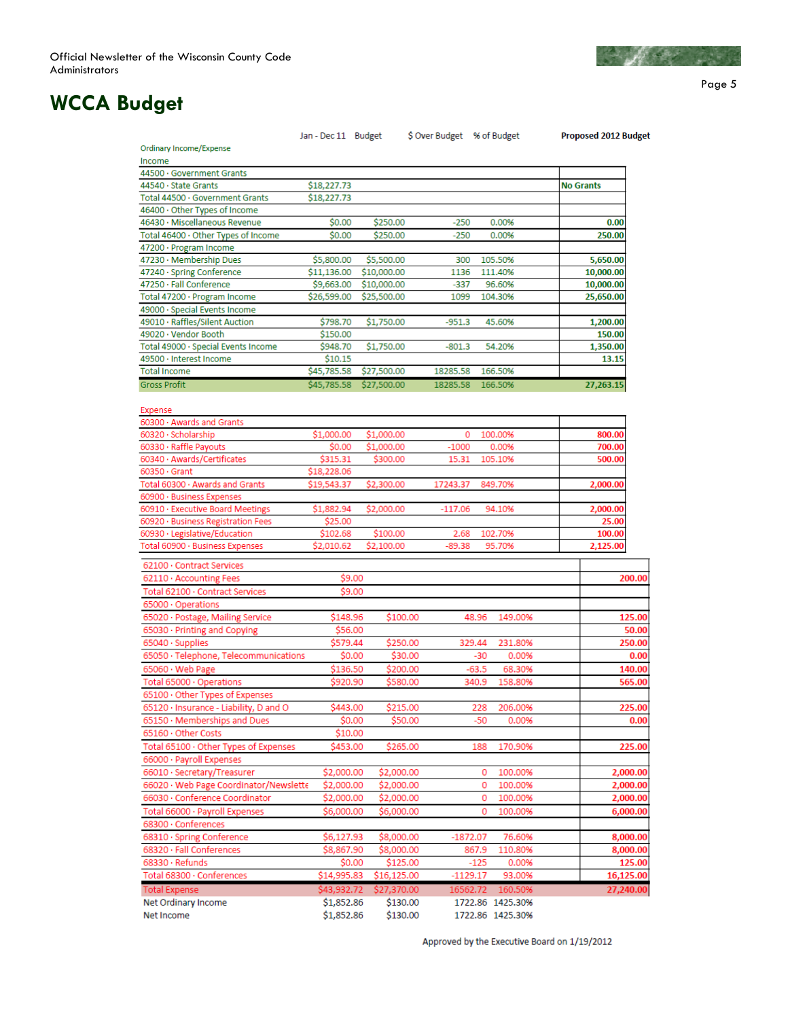

Page 5

## **WCCA Budget**

|                                                                          | Jan - Dec 11 Budget      |                         | S Over Budget % of Budget |          |                  | <b>Proposed 2012 Budget</b> |      |
|--------------------------------------------------------------------------|--------------------------|-------------------------|---------------------------|----------|------------------|-----------------------------|------|
| Ordinary Income/Expense                                                  |                          |                         |                           |          |                  |                             |      |
| Income                                                                   |                          |                         |                           |          |                  |                             |      |
| 44500 · Government Grants                                                |                          |                         |                           |          |                  |                             |      |
| 44540 · State Grants                                                     | \$18,227.73              |                         |                           |          |                  | <b>No Grants</b>            |      |
| Total 44500 · Government Grants                                          | \$18,227.73              |                         |                           |          |                  |                             |      |
| 46400 · Other Types of Income                                            |                          |                         |                           |          |                  |                             |      |
| 46430 · Miscellaneous Revenue                                            | \$0.00                   | \$250.00                |                           | $-250$   | 0.00%            | 0.00                        |      |
| Total 46400 · Other Types of Income                                      | \$0.00                   | \$250.00                |                           | $-250$   | 0.00%            | 250.00                      |      |
| 47200 · Program Income                                                   |                          |                         |                           |          |                  |                             |      |
| 47230 · Membership Dues                                                  | \$5,800.00               | \$5,500.00              |                           | 300      | 105.50%          | 5,650.00                    |      |
| 47240 · Spring Conference                                                | \$11,136.00              | \$10,000.00             |                           | 1136     | 111.40%          | 10,000.00                   |      |
| 47250 · Fall Conference                                                  | \$9,663.00               | \$10,000.00             |                           | -337     | 96.60%           | 10,000.00                   |      |
| Total 47200 · Program Income                                             | \$26,599.00              | \$25,500.00             |                           | 1099     | 104.30%          | 25,650.00                   |      |
| 49000 · Special Events Income                                            |                          |                         |                           |          |                  |                             |      |
| 49010 · Raffles/Silent Auction                                           | \$798.70                 | \$1,750.00              | $-951.3$                  |          | 45.60%           | 1,200.00                    |      |
| 49020 · Vendor Booth                                                     | \$150.00                 |                         |                           |          |                  | 150.00                      |      |
| Total 49000 · Special Events Income                                      | \$948.70                 | \$1,750.00              | $-801.3$                  |          | 54.20%           | 1,350.00                    |      |
| 49500 · Interest Income                                                  | \$10.15                  |                         |                           |          |                  | 13.15                       |      |
| <b>Total Income</b>                                                      | \$45,785.58              | \$27,500.00             | 18285.58                  |          | 166.50%          |                             |      |
| <b>Gross Profit</b>                                                      |                          | \$45,785.58 \$27,500.00 | 18285.58                  |          | 166,50%          | 27,263.15                   |      |
|                                                                          |                          |                         |                           |          |                  |                             |      |
| Expense                                                                  |                          |                         |                           |          |                  |                             |      |
| 60300 · Awards and Grants                                                |                          |                         |                           |          |                  |                             |      |
| 60320 · Scholarship                                                      | \$1,000.00               | \$1,000.00              |                           | 0        | 100.00%          | 800.00                      |      |
| 60330 · Raffle Payouts                                                   | \$0.00                   | \$1,000.00              | $-1000$                   |          | 0.00%            | 700.00                      |      |
| 60340 · Awards/Certificates                                              | \$315.31                 | \$300.00                | 15.31                     |          | 105.10%          | 500.00                      |      |
| $60350 \cdot$ Grant                                                      | \$18,228.06              |                         |                           |          |                  |                             |      |
| Total 60300 · Awards and Grants                                          | \$19,543.37              | \$2,300.00              | 17243.37                  |          | 849.70%          | 2,000.00                    |      |
| 60900 · Business Expenses                                                |                          |                         |                           |          |                  |                             |      |
| 60910 · Executive Board Meetings                                         | \$1,882.94               | \$2,000.00              | $-117.06$                 |          | 94.10%           | 2,000.00                    |      |
| 60920 · Business Registration Fees                                       | \$25.00                  |                         |                           |          |                  | 25.00                       |      |
| 60930 · Legislative/Education                                            | \$102.68                 | \$100.00                |                           | 2.68     | 102.70%          | 100.00                      |      |
| Total 60900 · Business Expenses                                          | \$2,010.62               | \$2,100.00              | -89.38                    |          | 95.70%           | 2,125.00                    |      |
|                                                                          |                          |                         |                           |          |                  |                             |      |
| 62100 · Contract Services                                                |                          |                         |                           |          |                  |                             |      |
| 62110 · Accounting Fees                                                  |                          | \$9.00                  |                           |          |                  | 200.00                      |      |
| Total 62100 · Contract Services                                          |                          | \$9.00                  |                           |          |                  |                             |      |
| 65000 · Operations                                                       |                          |                         |                           |          |                  |                             |      |
| 65020 · Postage, Mailing Service                                         | \$148.96                 |                         | \$100.00                  | 48.96    | 149.00%          | 125.00                      |      |
| 65030 · Printing and Copying                                             | \$56.00                  |                         |                           |          |                  | 50.00                       |      |
| 65040 · Supplies                                                         | \$579.44                 |                         | \$250.00                  | 329.44   | 231.80%          | 250.00                      |      |
| 65050 · Telephone, Telecommunications                                    |                          | \$0.00                  | \$30.00                   | -30      | 0.00%            |                             | 0.00 |
| $65060 \cdot$ Web Page                                                   | \$136.50                 |                         | \$200.00                  | $-63.5$  | 68.30%           | 140.00                      |      |
| Total 65000 · Operations                                                 | \$920.90                 |                         | \$580.00                  | 340.9    | 158.80%          | 565.00                      |      |
| 65100 · Other Types of Expenses                                          |                          |                         |                           |          |                  |                             |      |
| 65120 · Insurance - Liability, D and O                                   | \$443.00                 |                         | \$215.00                  | 228      | 206.00%          | 225.00                      |      |
| 65150 · Memberships and Dues                                             |                          | \$0.00                  | \$50.00                   | $-50$    | 0.00%            |                             | 0.00 |
| 65160 · Other Costs                                                      | \$10.00                  |                         |                           |          |                  |                             |      |
| Total 65100 · Other Types of Expenses                                    | \$453.00                 |                         | \$265.00                  | 188      | 170.90%          | 225.00                      |      |
| 66000 · Payroll Expenses                                                 |                          |                         |                           |          |                  |                             |      |
| 66010 · Secretary/Treasurer                                              | \$2,000.00               |                         | \$2,000.00                | 0        | 100.00%          | 2,000.00                    |      |
|                                                                          |                          |                         | \$2,000.00                | 0        |                  |                             |      |
| 66020 · Web Page Coordinator/Newslette<br>66030 · Conference Coordinator | \$2,000.00<br>\$2,000.00 |                         |                           | 0        | 100.00%          | 2,000.00                    |      |
|                                                                          |                          |                         | \$2,000.00                |          | 100.00%          | 2,000.00                    |      |
| Total 66000 · Payroll Expenses                                           | \$6,000.00               |                         | \$6,000.00                | 0        | 100.00%          | 6,000.00                    |      |
| 68300 · Conferences                                                      |                          |                         |                           |          |                  |                             |      |
| 68310 · Spring Conference                                                | \$6,127.93               | \$8,000.00              |                           | -1872.07 | 76.60%           | 8,000.00                    |      |
| 68320 · Fall Conferences                                                 | \$8,867.90               |                         | \$8,000.00                | 867.9    | 110.80%          | 8,000.00                    |      |
| $68330 \cdot$ Refunds                                                    |                          | \$0.00                  | \$125.00                  | $-125$   | 0.00%            | 125.00                      |      |
| Total 68300 · Conferences                                                | \$14,995.83              | \$16,125.00             |                           | -1129.17 | 93.00%           | 16,125.00                   |      |
| <b>Total Expense</b>                                                     | \$43,932.72              | \$27,370.00             |                           |          | 16562.72 160.50% | 27,240.00                   |      |
| Net Ordinary Income                                                      | \$1,852.86               |                         | \$130.00                  |          | 1722.86 1425.30% |                             |      |
| Net Income                                                               | \$1,852.86               |                         | \$130.00                  |          | 1722.86 1425.30% |                             |      |

Approved by the Executive Board on 1/19/2012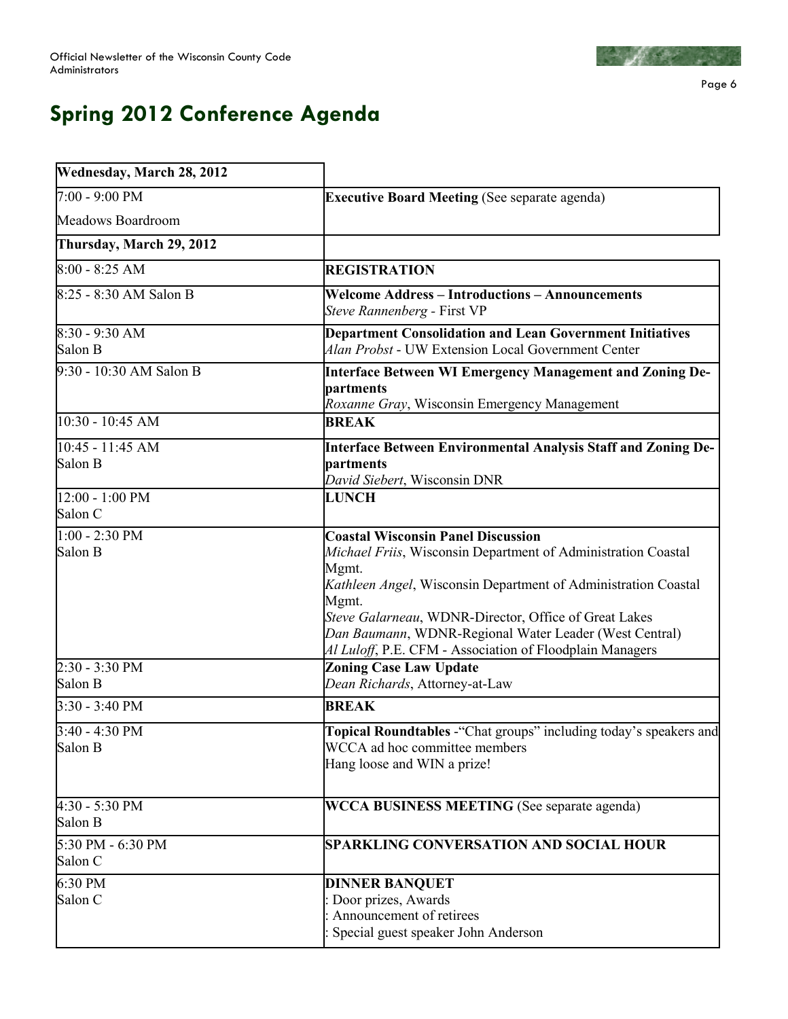

Page 6

# **Spring 2012 Conference Agenda**

| Wednesday, March 28, 2012    |                                                                                                                                                                                                                                                                                                                                                                               |  |  |
|------------------------------|-------------------------------------------------------------------------------------------------------------------------------------------------------------------------------------------------------------------------------------------------------------------------------------------------------------------------------------------------------------------------------|--|--|
| 7:00 - 9:00 PM               | <b>Executive Board Meeting (See separate agenda)</b>                                                                                                                                                                                                                                                                                                                          |  |  |
| Meadows Boardroom            |                                                                                                                                                                                                                                                                                                                                                                               |  |  |
| Thursday, March 29, 2012     |                                                                                                                                                                                                                                                                                                                                                                               |  |  |
| $8:00 - 8:25$ AM             | <b>REGISTRATION</b>                                                                                                                                                                                                                                                                                                                                                           |  |  |
| 8:25 - 8:30 AM Salon B       | <b>Welcome Address - Introductions - Announcements</b><br>Steve Rannenberg - First VP                                                                                                                                                                                                                                                                                         |  |  |
| 8:30 - 9:30 AM<br>Salon B    | <b>Department Consolidation and Lean Government Initiatives</b><br>Alan Probst - UW Extension Local Government Center                                                                                                                                                                                                                                                         |  |  |
| 9:30 - 10:30 AM Salon B      | <b>Interface Between WI Emergency Management and Zoning De-</b><br>partments<br>Roxanne Gray, Wisconsin Emergency Management                                                                                                                                                                                                                                                  |  |  |
| 10:30 - 10:45 AM             | <b>BREAK</b>                                                                                                                                                                                                                                                                                                                                                                  |  |  |
| 10:45 - 11:45 AM<br>Salon B  | Interface Between Environmental Analysis Staff and Zoning De-<br>partments<br>David Siebert, Wisconsin DNR                                                                                                                                                                                                                                                                    |  |  |
| 12:00 - 1:00 PM<br>Salon C   | <b>LUNCH</b>                                                                                                                                                                                                                                                                                                                                                                  |  |  |
| $1:00 - 2:30$ PM<br>Salon B  | <b>Coastal Wisconsin Panel Discussion</b><br>Michael Friis, Wisconsin Department of Administration Coastal<br>Mgmt.<br>Kathleen Angel, Wisconsin Department of Administration Coastal<br>Mgmt.<br>Steve Galarneau, WDNR-Director, Office of Great Lakes<br>Dan Baumann, WDNR-Regional Water Leader (West Central)<br>Al Luloff, P.E. CFM - Association of Floodplain Managers |  |  |
| 2:30 - 3:30 PM<br>Salon B    | <b>Zoning Case Law Update</b><br>Dean Richards, Attorney-at-Law                                                                                                                                                                                                                                                                                                               |  |  |
| $3:30 - 3:40$ PM             | <b>BREAK</b>                                                                                                                                                                                                                                                                                                                                                                  |  |  |
| 3:40 - 4:30 PM<br>Salon B    | Topical Roundtables - "Chat groups" including today's speakers and<br>WCCA ad hoc committee members<br>Hang loose and WIN a prize!                                                                                                                                                                                                                                            |  |  |
| 4:30 - 5:30 PM<br>Salon B    | WCCA BUSINESS MEETING (See separate agenda)                                                                                                                                                                                                                                                                                                                                   |  |  |
| 5:30 PM - 6:30 PM<br>Salon C | <b>SPARKLING CONVERSATION AND SOCIAL HOUR</b>                                                                                                                                                                                                                                                                                                                                 |  |  |
| 6:30 PM<br>Salon C           | <b>DINNER BANQUET</b><br>Door prizes, Awards<br>Announcement of retirees<br>Special guest speaker John Anderson                                                                                                                                                                                                                                                               |  |  |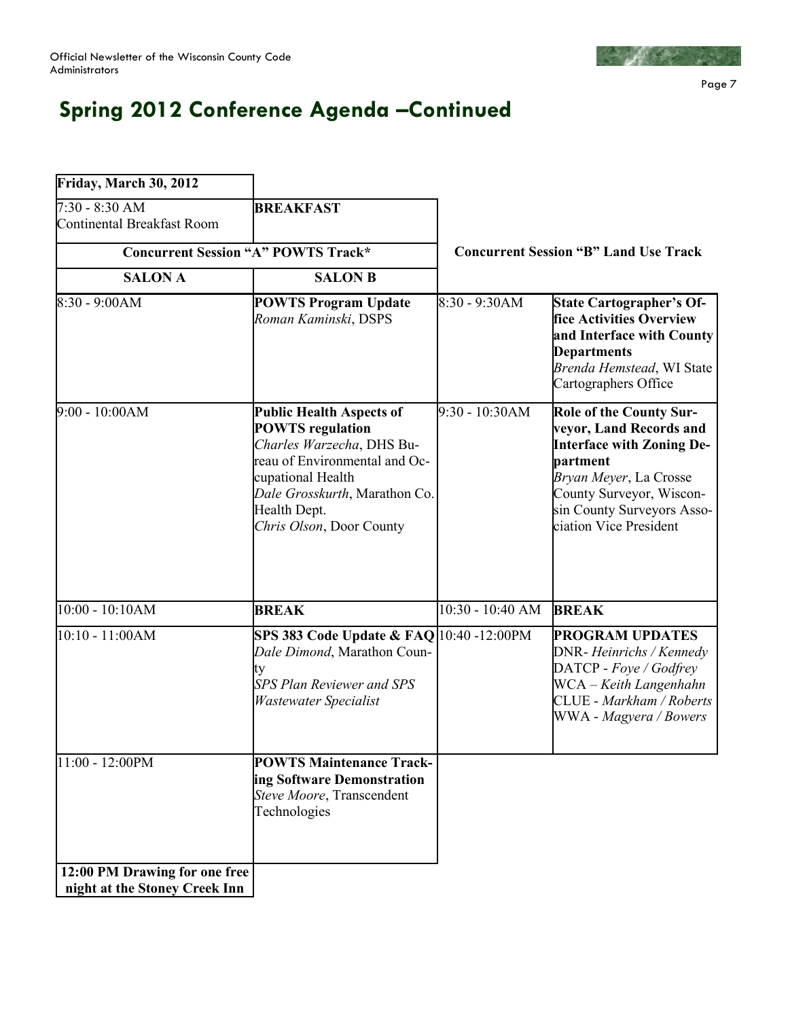

Page 7

# **Spring 2012 Conference Agenda –Continued**

| Friday, March 30, 2012                                         |                                                                                                                                                                                                                            |                                              |                                                                                                                                                                                                                         |  |
|----------------------------------------------------------------|----------------------------------------------------------------------------------------------------------------------------------------------------------------------------------------------------------------------------|----------------------------------------------|-------------------------------------------------------------------------------------------------------------------------------------------------------------------------------------------------------------------------|--|
| 7:30 - 8:30 AM<br><b>Continental Breakfast Room</b>            | <b>BREAKFAST</b>                                                                                                                                                                                                           |                                              |                                                                                                                                                                                                                         |  |
|                                                                | <b>Concurrent Session "A" POWTS Track*</b>                                                                                                                                                                                 | <b>Concurrent Session "B" Land Use Track</b> |                                                                                                                                                                                                                         |  |
| <b>SALON A</b>                                                 | <b>SALON B</b>                                                                                                                                                                                                             |                                              |                                                                                                                                                                                                                         |  |
| 8:30 - 9:00AM                                                  | <b>POWTS Program Update</b><br>Roman Kaminski, DSPS                                                                                                                                                                        | 8:30 - 9:30AM                                | <b>State Cartographer's Of-</b><br>fice Activities Overview<br>and Interface with County<br><b>Departments</b><br>Brenda Hemstead, WI State<br>Cartographers Office                                                     |  |
| $9:00 - 10:00AM$                                               | <b>Public Health Aspects of</b><br><b>POWTS</b> regulation<br>Charles Warzecha, DHS Bu-<br>reau of Environmental and Oc-<br>cupational Health<br>Dale Grosskurth, Marathon Co.<br>Health Dept.<br>Chris Olson, Door County | 9:30 - 10:30AM                               | <b>Role of the County Sur-</b><br>veyor, Land Records and<br><b>Interface with Zoning De-</b><br>partment<br>Bryan Meyer, La Crosse<br>County Surveyor, Wiscon-<br>sin County Surveyors Asso-<br>ciation Vice President |  |
| 10:00 - 10:10AM                                                | <b>BREAK</b>                                                                                                                                                                                                               | $10:30 - 10:40$ AM                           | <b>BREAK</b>                                                                                                                                                                                                            |  |
| 10:10 - 11:00AM                                                | SPS 383 Code Update & FAQ 10:40 -12:00PM<br>Dale Dimond, Marathon Coun-<br>ty<br><b>SPS Plan Reviewer and SPS</b><br><b>Wastewater Specialist</b>                                                                          |                                              | <b>PROGRAM UPDATES</b><br>DNR- Heinrichs / Kennedy<br>DATCP - Foye / Godfrey<br>WCA - Keith Langenhahn<br>CLUE - Markham / Roberts<br>WWA - Magyera / Bowers                                                            |  |
| 11:00 - 12:00PM                                                | <b>POWTS Maintenance Track-</b><br>ing Software Demonstration<br>Steve Moore, Transcendent<br>Technologies                                                                                                                 |                                              |                                                                                                                                                                                                                         |  |
| 12:00 PM Drawing for one free<br>night at the Stoney Creek Inn |                                                                                                                                                                                                                            |                                              |                                                                                                                                                                                                                         |  |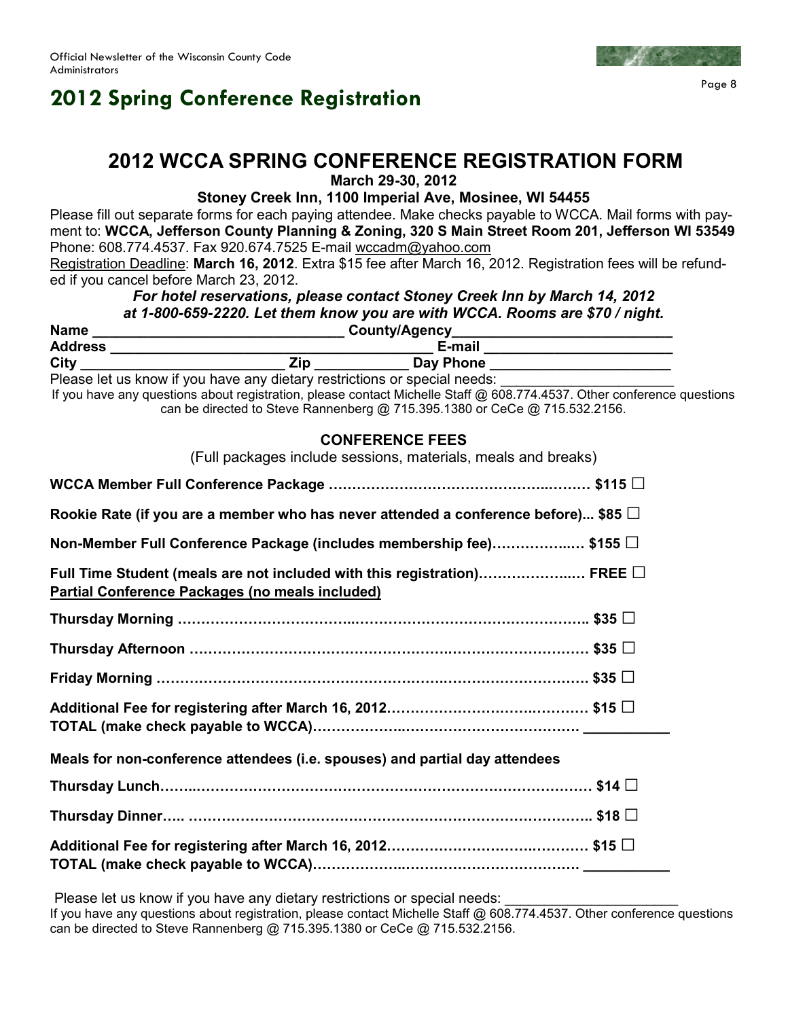# **2012 Spring Conference Registration**

### **2012 WCCA SPRING CONFERENCE REGISTRATION FORM**

**March 29-30, 2012** 

### **Stoney Creek Inn, 1100 Imperial Ave, Mosinee, WI 54455**

Please fill out separate forms for each paying attendee. Make checks payable to WCCA. Mail forms with payment to: **WCCA, Jefferson County Planning & Zoning, 320 S Main Street Room 201, Jefferson WI 53549**  Phone: 608.774.4537. Fax 920.674.7525 E-mail wccadm@yahoo.com

Registration Deadline: **March 16, 2012**. Extra \$15 fee after March 16, 2012. Registration fees will be refunded if you cancel before March 23, 2012.

### *For hotel reservations, please contact Stoney Creek Inn by March 14, 2012 at 1-800-659-2220. Let them know you are with WCCA. Rooms are \$70 / night.*

| <b>Name</b>    | County/Agency                                                             |           |  |
|----------------|---------------------------------------------------------------------------|-----------|--|
| <b>Address</b> |                                                                           | E-mail    |  |
| Citv           | Zin                                                                       | Day Phone |  |
|                | Plagea let us know if you have any dietary restrictions or special needs. |           |  |

Please let us know if you have any dietary restrictions or special needs: If you have any questions about registration, please contact Michelle Staff @ 608.774.4537. Other conference questions can be directed to Steve Rannenberg @ 715.395.1380 or CeCe @ 715.532.2156.

### **CONFERENCE FEES**

| (Full packages include sessions, materials, meals and breaks)                                                                    |
|----------------------------------------------------------------------------------------------------------------------------------|
|                                                                                                                                  |
| Rookie Rate (if you are a member who has never attended a conference before) \$85 $\Box$                                         |
| Non-Member Full Conference Package (includes membership fee)\$155 $\Box$                                                         |
| Full Time Student (meals are not included with this registration) FREE $\Box$<br>Partial Conference Packages (no meals included) |
| Thursday Morning …………………………………………………………………………… \$35 □                                                                            |
|                                                                                                                                  |
| Friday Morning ………………………………………………………………………………………    \$35 $\Box$                                                                  |
|                                                                                                                                  |
| Meals for non-conference attendees (i.e. spouses) and partial day attendees                                                      |
|                                                                                                                                  |
|                                                                                                                                  |
|                                                                                                                                  |

Please let us know if you have any dietary restrictions or special needs: If you have any questions about registration, please contact Michelle Staff @ 608.774.4537. Other conference questions can be directed to Steve Rannenberg @ 715.395.1380 or CeCe @ 715.532.2156.